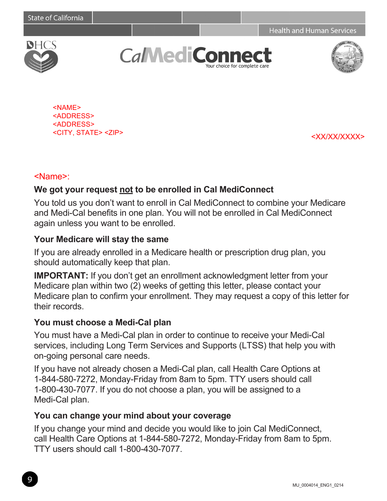**Health and Human Services** 



**CalMediCo** our choice for complete care



<NAME> <ADDRESS> <ADDRESS> <CITY, STATE> <ZIP> <XX/XX/XXXX>

### <Name>:

## **We got your request not to be enrolled in Cal MediConnect**

You told us you don't want to enroll in Cal MediConnect to combine your Medicare and Medi-Cal benefits in one plan. You will not be enrolled in Cal MediConnect again unless you want to be enrolled.

### **Your Medicare will stay the same**

If you are already enrolled in a Medicare health or prescription drug plan, you should automatically keep that plan.

**IMPORTANT:** If you don't get an enrollment acknowledgment letter from your Medicare plan within two (2) weeks of getting this letter, please contact your Medicare plan to confirm your enrollment. They may request a copy of this letter for their records.

#### **You must choose a Medi-Cal plan**

You must have a Medi-Cal plan in order to continue to receive your Medi-Cal services, including Long Term Services and Supports (LTSS) that help you with on-going personal care needs.

If you have not already chosen a Medi-Cal plan, call Health Care Options at 1-844-580-7272, Monday-Friday from 8am to 5pm. TTY users should call 1-800-430-7077. If you do not choose a plan, you will be assigned to a Medi-Cal plan.

## **You can change your mind about your coverage**

If you change your mind and decide you would like to join Cal MediConnect, call Health Care Options at 1-844-580-7272, Monday-Friday from 8am to 5pm. TTY users should call 1-800-430-7077.